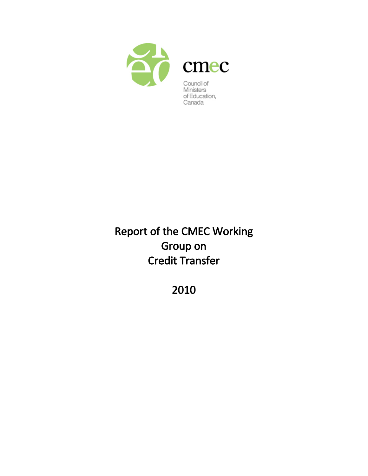

# Report of the CMEC Working Group on Credit Transfer

2010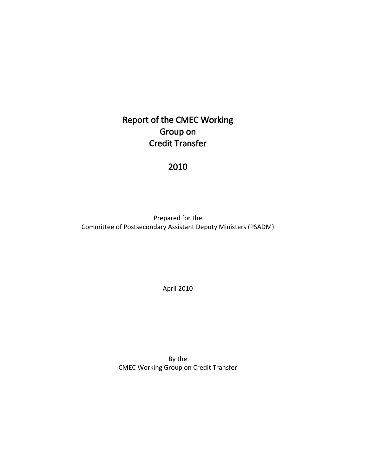## Report of the CMEC Working Group on Credit Transfer

## 2010

Prepared for the Committee of Postsecondary Assistant Deputy Ministers (PSADM)

April 2010

By the CMEC Working Group on Credit Transfer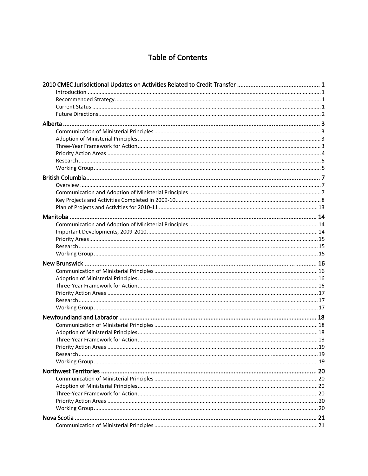## **Table of Contents**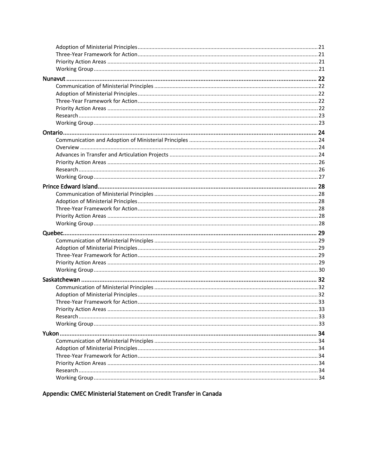Appendix: CMEC Ministerial Statement on Credit Transfer in Canada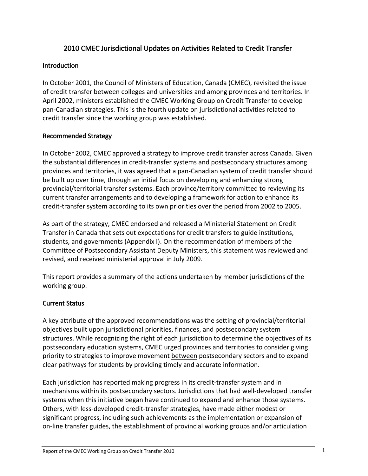## 2010 CMEC Jurisdictional Updates on Activities Related to Credit Transfer

#### <span id="page-4-0"></span>**Introduction**

In October 2001, the Council of Ministers of Education, Canada (CMEC), revisited the issue of credit transfer between colleges and universities and among provinces and territories. In April 2002, ministers established the CMEC Working Group on Credit Transfer to develop pan‐Canadian strategies. This is the fourth update on jurisdictional activities related to credit transfer since the working group was established.

#### Recommended Strategy

In October 2002, CMEC approved a strategy to improve credit transfer across Canada. Given the substantial differences in credit‐transfer systems and postsecondary structures among provinces and territories, it was agreed that a pan‐Canadian system of credit transfer should be built up over time, through an initial focus on developing and enhancing strong provincial/territorial transfer systems. Each province/territory committed to reviewing its current transfer arrangements and to developing a framework for action to enhance its credit‐transfer system according to its own priorities over the period from 2002 to 2005.

As part of the strategy, CMEC endorsed and released a Ministerial Statement on Credit Transfer in Canada that sets out expectations for credit transfers to guide institutions, students, and governments (Appendix I). On the recommendation of members of the Committee of Postsecondary Assistant Deputy Ministers, this statement was reviewed and revised, and received ministerial approval in July 2009.

This report provides a summary of the actions undertaken by member jurisdictions of the working group.

## Current Status

A key attribute of the approved recommendations was the setting of provincial/territorial objectives built upon jurisdictional priorities, finances, and postsecondary system structures. While recognizing the right of each jurisdiction to determine the objectives of its postsecondary education systems, CMEC urged provinces and territories to consider giving priority to strategies to improve movement between postsecondary sectors and to expand clear pathways for students by providing timely and accurate information.

Each jurisdiction has reported making progress in its credit‐transfer system and in mechanisms within its postsecondary sectors. Jurisdictions that had well‐developed transfer systems when this initiative began have continued to expand and enhance those systems. Others, with less‐developed credit‐transfer strategies, have made either modest or significant progress, including such achievements as the implementation or expansion of on‐line transfer guides, the establishment of provincial working groups and/or articulation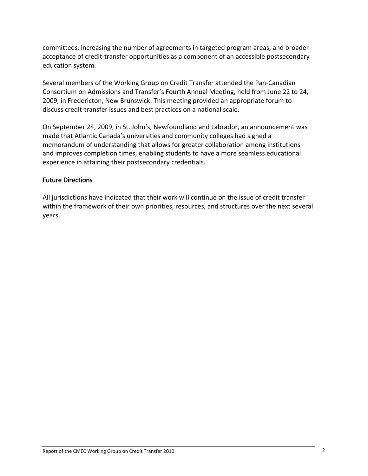<span id="page-5-0"></span>committees, increasing the number of agreements in targeted program areas, and broader acceptance of credit‐transfer opportunities as a component of an accessible postsecondary education system.

Several members of the Working Group on Credit Transfer attended the Pan‐Canadian Consortium on Admissions and Transfer's Fourth Annual Meeting, held from June 22 to 24, 2009, in Fredericton, New Brunswick. This meeting provided an appropriate forum to discuss credit‐transfer issues and best practices on a national scale.

On September 24, 2009, in St. John's, Newfoundland and Labrador, an announcement was made that Atlantic Canada's universities and community colleges had signed a memorandum of understanding that allows for greater collaboration among institutions and improves completion times, enabling students to have a more seamless educational experience in attaining their postsecondary credentials.

#### Future Directions

All jurisdictions have indicated that their work will continue on the issue of credit transfer within the framework of their own priorities, resources, and structures over the next several years.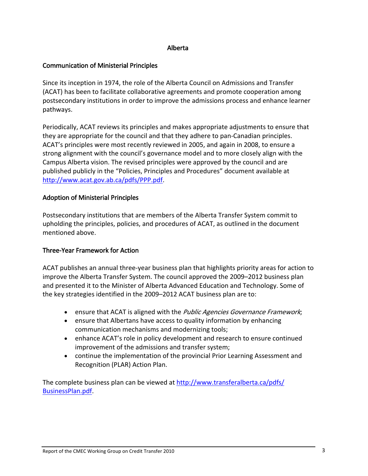#### Alberta

#### <span id="page-6-0"></span>Communication of Ministerial Principles

Since its inception in 1974, the role of the Alberta Council on Admissions and Transfer (ACAT) has been to facilitate collaborative agreements and promote cooperation among postsecondary institutions in order to improve the admissions process and enhance learner pathways.

Periodically, ACAT reviews its principles and makes appropriate adjustments to ensure that they are appropriate for the council and that they adhere to pan‐Canadian principles. ACAT's principles were most recently reviewed in 2005, and again in 2008, to ensure a strong alignment with the council's governance model and to more closely align with the Campus Alberta vision. The revised principles were approved by the council and are published publicly in the "Policies, Principles and Procedures" document available at [http://www.acat.gov.ab.ca/pdfs/PPP.pdf.](http://www.acat.gov.ab.ca/pdfs/PPP.pdf)

#### Adoption of Ministerial Principles

Postsecondary institutions that are members of the Alberta Transfer System commit to upholding the principles, policies, and procedures of ACAT, as outlined in the document mentioned above.

#### Three‐Year Framework for Action

ACAT publishes an annual three‐year business plan that highlights priority areas for action to improve the Alberta Transfer System. The council approved the 2009–2012 business plan and presented it to the Minister of Alberta Advanced Education and Technology. Some of the key strategies identified in the 2009–2012 ACAT business plan are to:

- ensure that ACAT is aligned with the *Public Agencies Governance Framework*;
- ensure that Albertans have access to quality information by enhancing communication mechanisms and modernizing tools;
- enhance ACAT's role in policy development and research to ensure continued improvement of the admissions and transfer system;
- continue the implementation of the provincial Prior Learning Assessment and Recognition (PLAR) Action Plan.

The complete business plan can be viewed at [http://www.transferalberta.ca/pdfs/](http://www.transferalberta.ca/pdfs/BusinessPlan.pdf) [BusinessPlan.pdf](http://www.transferalberta.ca/pdfs/BusinessPlan.pdf).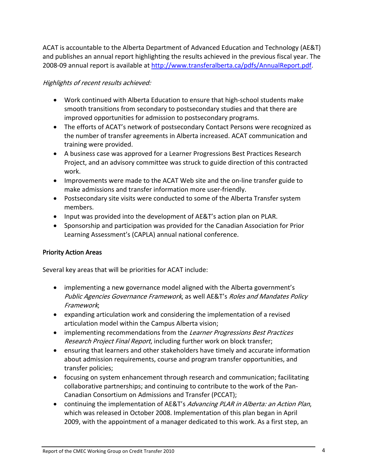<span id="page-7-0"></span>ACAT is accountable to the Alberta Department of Advanced Education and Technology (AE&T) and publishes an annual report highlighting the results achieved in the previous fiscal year. The 2008‐09 annual report is available at <http://www.transferalberta.ca/pdfs/AnnualReport.pdf>.

#### Highlights of recent results achieved:

- Work continued with Alberta Education to ensure that high‐school students make smooth transitions from secondary to postsecondary studies and that there are improved opportunities for admission to postsecondary programs.
- The efforts of ACAT's network of postsecondary Contact Persons were recognized as the number of transfer agreements in Alberta increased. ACAT communication and training were provided.
- A business case was approved for a Learner Progressions Best Practices Research Project, and an advisory committee was struck to guide direction of this contracted work.
- Improvements were made to the ACAT Web site and the on‐line transfer guide to make admissions and transfer information more user‐friendly.
- Postsecondary site visits were conducted to some of the Alberta Transfer system members.
- Input was provided into the development of AE&T's action plan on PLAR.
- Sponsorship and participation was provided for the Canadian Association for Prior Learning Assessment's (CAPLA) annual national conference.

## Priority Action Areas

Several key areas that will be priorities for ACAT include:

- implementing a new governance model aligned with the Alberta government's Public Agencies Governance Framework, as well AE&T's Roles and Mandates Policy Framework;
- expanding articulation work and considering the implementation of a revised articulation model within the Campus Alberta vision;
- implementing recommendations from the Learner Progressions Best Practices Research Project Final Report, including further work on block transfer;
- ensuring that learners and other stakeholders have timely and accurate information about admission requirements, course and program transfer opportunities, and transfer policies;
- focusing on system enhancement through research and communication; facilitating collaborative partnerships; and continuing to contribute to the work of the Pan‐ Canadian Consortium on Admissions and Transfer (PCCAT);
- continuing the implementation of AE&T's Advancing PLAR in Alberta: an Action Plan, which was released in October 2008. Implementation of this plan began in April 2009, with the appointment of a manager dedicated to this work. As a first step, an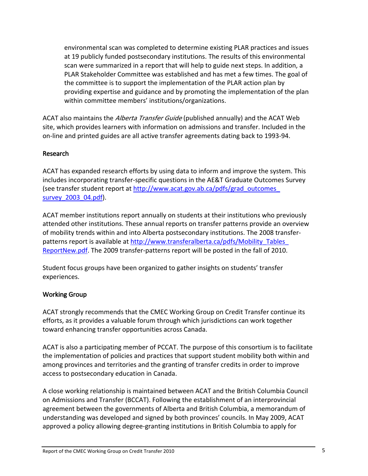<span id="page-8-0"></span>environmental scan was completed to determine existing PLAR practices and issues at 19 publicly funded postsecondary institutions. The results of this environmental scan were summarized in a report that will help to guide next steps. In addition, a PLAR Stakeholder Committee was established and has met a few times. The goal of the committee is to support the implementation of the PLAR action plan by providing expertise and guidance and by promoting the implementation of the plan within committee members' institutions/organizations.

ACAT also maintains the *Alberta Transfer Guide* (published annually) and the ACAT Web site, which provides learners with information on admissions and transfer. Included in the on‐line and printed guides are all active transfer agreements dating back to 1993‐94.

#### Research

ACAT has expanded research efforts by using data to inform and improve the system. This includes incorporating transfer‐specific questions in the AE&T Graduate Outcomes Survey (see transfer student report at [http://www.acat.gov.ab.ca/pdfs/grad\\_outcomes\\_](http://www.acat.gov.ab.ca/pdfs/grad_outcomes_%0Bsurvey_2003_04.pdf) [survey\\_2003\\_04.pdf\)](http://www.acat.gov.ab.ca/pdfs/grad_outcomes_%0Bsurvey_2003_04.pdf).

ACAT member institutions report annually on students at their institutions who previously attended other institutions. These annual reports on transfer patterns provide an overview of mobility trends within and into Alberta postsecondary institutions. The 2008 transfer‐ patterns report is available at [http://www.transferalberta.ca/pdfs/Mobility\\_Tables\\_](http://www.transferalberta.ca/pdfs/Mobility_Tables_%0BReportNew.pdf) [ReportNew.pdf.](http://www.transferalberta.ca/pdfs/Mobility_Tables_%0BReportNew.pdf) The 2009 transfer‐patterns report will be posted in the fall of 2010.

Student focus groups have been organized to gather insights on students' transfer experiences.

## Working Group

ACAT strongly recommends that the CMEC Working Group on Credit Transfer continue its efforts, as it provides a valuable forum through which jurisdictions can work together toward enhancing transfer opportunities across Canada.

ACAT is also a participating member of PCCAT. The purpose of this consortium is to facilitate the implementation of policies and practices that support student mobility both within and among provinces and territories and the granting of transfer credits in order to improve access to postsecondary education in Canada.

A close working relationship is maintained between ACAT and the British Columbia Council on Admissions and Transfer (BCCAT). Following the establishment of an interprovincial agreement between the governments of Alberta and British Columbia, a memorandum of understanding was developed and signed by both provinces' councils. In May 2009, ACAT approved a policy allowing degree‐granting institutions in British Columbia to apply for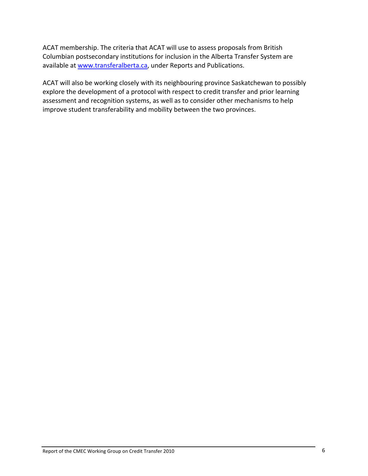ACAT membership. The criteria that ACAT will use to assess proposals from British Columbian postsecondary institutions for inclusion in the Alberta Transfer System are available at [www.transferalberta.ca](http://www.transferalberta.ca/), under Reports and Publications.

ACAT will also be working closely with its neighbouring province Saskatchewan to possibly explore the development of a protocol with respect to credit transfer and prior learning assessment and recognition systems, as well as to consider other mechanisms to help improve student transferability and mobility between the two provinces.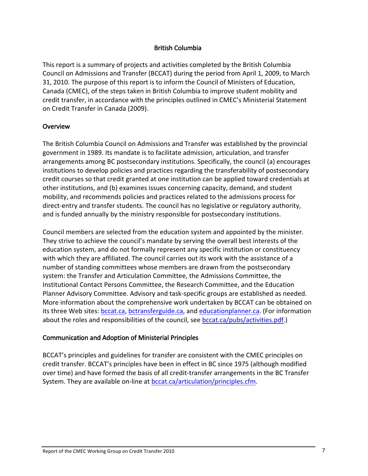#### British Columbia

<span id="page-10-0"></span>This report is a summary of projects and activities completed by the British Columbia Council on Admissions and Transfer (BCCAT) during the period from April 1, 2009, to March 31, 2010. The purpose of this report is to inform the Council of Ministers of Education, Canada (CMEC), of the steps taken in British Columbia to improve student mobility and credit transfer, in accordance with the principles outlined in CMEC's Ministerial Statement on Credit Transfer in Canada (2009).

#### **Overview**

The British Columbia Council on Admissions and Transfer was established by the provincial government in 1989. Its mandate is to facilitate admission, articulation, and transfer arrangements among BC postsecondary institutions. Specifically, the council (a) encourages institutions to develop policies and practices regarding the transferability of postsecondary credit courses so that credit granted at one institution can be applied toward credentials at other institutions, and (b) examines issues concerning capacity, demand, and student mobility, and recommends policies and practices related to the admissions process for direct-entry and transfer students. The council has no legislative or regulatory authority, and is funded annually by the ministry responsible for postsecondary institutions.

Council members are selected from the education system and appointed by the minister. They strive to achieve the council's mandate by serving the overall best interests of the education system, and do not formally represent any specific institution or constituency with which they are affiliated. The council carries out its work with the assistance of a number of standing committees whose members are drawn from the postsecondary system: the Transfer and Articulation Committee, the Admissions Committee, the Institutional Contact Persons Committee, the Research Committee, and the Education Planner Advisory Committee. Advisory and task‐specific groups are established as needed. More information about the comprehensive work undertaken by BCCAT can be obtained on its three Web sites: [bccat.ca](http://bccat.ca/), [bctransferguide.ca,](http://bctransferguide.ca/) and [educationplanner.ca.](http://www.educationplanner.ca/) (For information about the roles and responsibilities of the council, see **bccat.ca/pubs/activities.pdf**.)

#### Communication and Adoption of Ministerial Principles

BCCAT's principles and guidelines for transfer are consistent with the CMEC principles on credit transfer. BCCAT's principles have been in effect in BC since 1975 (although modified over time) and have formed the basis of all credit‐transfer arrangements in the BC Transfer System. They are available on-line at [bccat.ca/articulation/principles.cfm.](http://bccat.ca/articulation/principles.cfm)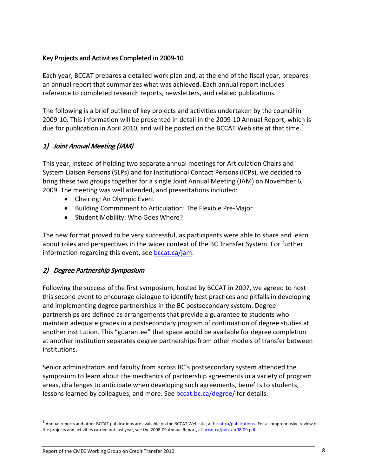## <span id="page-11-0"></span>Key Projects and Activities Completed in 2009‐10

Each year, BCCAT prepares a detailed work plan and, at the end of the fiscal year, prepares an annual report that summarizes what was achieved. Each annual report includes reference to completed research reports, newsletters, and related publications.

The following is a brief outline of key projects and activities undertaken by the council in 2009‐10. This information will be presented in detail in the 2009‐10 Annual Report, which is due for publication in April 20[1](#page-11-1)0, and will be posted on the BCCAT Web site at that time.<sup>1</sup>

## 1) Joint Annual Meeting (JAM)

This year, instead of holding two separate annual meetings for Articulation Chairs and System Liaison Persons (SLPs) and for Institutional Contact Persons (ICPs), we decided to bring these two groups together for a single Joint Annual Meeting (JAM) on November 6, 2009. The meeting was well attended, and presentations included:

- Chairing: An Olympic Event
- Building Commitment to Articulation: The Flexible Pre‐Major
- Student Mobility: Who Goes Where?

The new format proved to be very successful, as participants were able to share and learn about roles and perspectives in the wider context of the BC Transfer System. For further information regarding this event, see [bccat.ca/jam.](http://www.bccat.ca/jam)

## 2) Degree Partnership Symposium

Following the success of the first symposium, hosted by BCCAT in 2007, we agreed to host this second event to encourage dialogue to identify best practices and pitfalls in developing and implementing degree partnerships in the BC postsecondary system. Degree partnerships are defined as arrangements that provide a guarantee to students who maintain adequate grades in a postsecondary program of continuation of degree studies at another institution. This "guarantee" that space would be available for degree completion at another institution separates degree partnerships from other models of transfer between institutions.

Senior administrators and faculty from across BC's postsecondary system attended the symposium to learn about the mechanics of partnership agreements in a variety of program areas, challenges to anticipate when developing such agreements, benefits to students, lessons learned by colleagues, and more. See [bccat.bc.ca/degree/](http://www.bccat.bc.ca/degree/) for details.

j

<span id="page-11-1"></span> $1$  Annual reports and other BCCAT publications are available on the BCCAT Web site, at  $bccat.ca/publications$  $bccat.ca/publications$  $bccat.ca/publications$ . For a comprehensive review of</u> the projects and activities carried out last year, see the 2008-09 Annual Report, at [bccat.ca/pubs/ar08](http://bccat.ca/pubs/ar08-09.pdf)-09.pdf.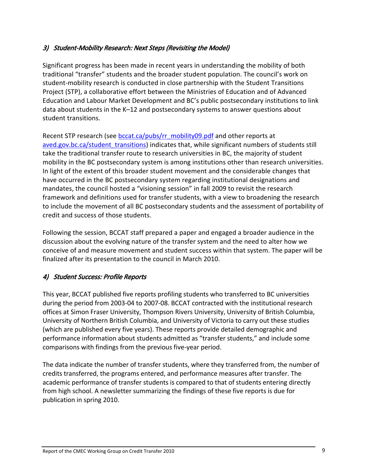## 3) Student‐Mobility Research: Next Steps (Revisiting the Model)

Significant progress has been made in recent years in understanding the mobility of both traditional "transfer" students and the broader student population. The council's work on student‐mobility research is conducted in close partnership with the Student Transitions Project (STP), a collaborative effort between the Ministries of Education and of Advanced Education and Labour Market Development and BC's public postsecondary institutions to link data about students in the K–12 and postsecondary systems to answer questions about student transitions.

Recent STP research (see bccat.ca/pubs/rr\_mobility09.pdf and other reports at aved.gov.bc.ca/student transitions) indicates that, while significant numbers of students still take the traditional transfer route to research universities in BC, the majority of student mobility in the BC postsecondary system is among institutions other than research universities. In light of the extent of this broader student movement and the considerable changes that have occurred in the BC postsecondary system regarding institutional designations and mandates, the council hosted a "visioning session" in fall 2009 to revisit the research framework and definitions used for transfer students, with a view to broadening the research to include the movement of all BC postsecondary students and the assessment of portability of credit and success of those students.

Following the session, BCCAT staff prepared a paper and engaged a broader audience in the discussion about the evolving nature of the transfer system and the need to alter how we conceive of and measure movement and student success within that system. The paper will be finalized after its presentation to the council in March 2010.

## 4) Student Success: Profile Reports

This year, BCCAT published five reports profiling students who transferred to BC universities during the period from 2003‐04 to 2007‐08. BCCAT contracted with the institutional research offices at Simon Fraser University, Thompson Rivers University, University of British Columbia, University of Northern British Columbia, and University of Victoria to carry out these studies (which are published every five years). These reports provide detailed demographic and performance information about students admitted as "transfer students," and include some comparisons with findings from the previous five‐year period.

The data indicate the number of transfer students, where they transferred from, the number of credits transferred, the programs entered, and performance measures after transfer. The academic performance of transfer students is compared to that of students entering directly from high school. A newsletter summarizing the findings of these five reports is due for publication in spring 2010.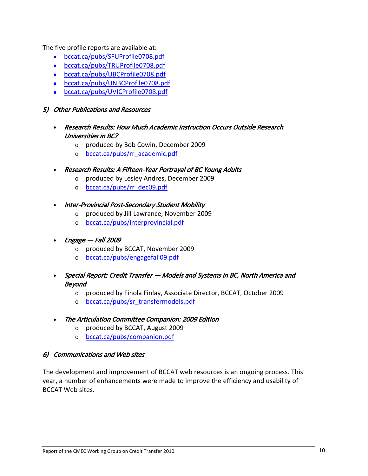The five profile reports are available at:

- bccat.ca/pubs/[SFUProfile0708](http://www.sfuprofile0708/).pdf
- bccat.ca/pubs/[TRUProfile0708.](http://www.truprofile0708/)pdf
- bccat.ca/pubs/[UBCProfile0708](http://www.ubcprofile0708/).pdf
- bccat.ca/pubs/[UNBCProfile0708](http://www.bccat.ca/pubs/UNBCProfile0708.pdf).pdf
- [bccat.ca/pubs/UVICProfile0708.pdf](http://www.bccat.ca/pubs/UVICProfile0708.pdf)

#### 5) Other Publications and Resources

- Research Results: How Much Academic Instruction Occurs Outside Research Universities in BC?
	- o produced by Bob Cowin, December 2009
	- o [bccat.ca/pubs/rr\\_academic.pdf](http://www.bccat.ca/pubs/rr_academic.pdf)
- Research Results: A Fifteen‐Year Portrayal of BC Young Adults
	- o produced by Lesley Andres, December 2009
	- o [bccat.ca/pubs/rr\\_dec09.pdf](http://www.bccat.ca/pubs/rr_dec09.pdf)
- Inter‐Provincial Post‐Secondary Student Mobility
	- o produced by Jill Lawrance, November 2009
	- o [bccat.ca/pubs/interprovincial.pdf](http://www.bccat.ca/pubs/interprovincial.pdf)
- Engage Fall <sup>2009</sup>
	- o produced by BCCAT, November 2009
	- o [bccat.ca/pubs/engagefall09.pdf](http://www.bccat.ca/pubs/engagefall09.pdf)
- Special Report: Credit Transfer Models and Systems in BC, North America and Beyond
	- o produced by Finola Finlay, Associate Director, BCCAT, October 2009
	- o [bccat.ca/pubs/sr\\_transfermodels.pdf](http://www.bccat.ca/pubs/sr_transfermodels.pdf)
- The Articulation Committee Companion: 2009 Edition
	- o produced by BCCAT, August 2009
	- o [bccat.ca/pubs/companion.pdf](http://www.bccat.ca/pubs/companion.pdf)

#### 6) Communications and Web sites

The development and improvement of BCCAT web resources is an ongoing process. This year, a number of enhancements were made to improve the efficiency and usability of BCCAT Web sites.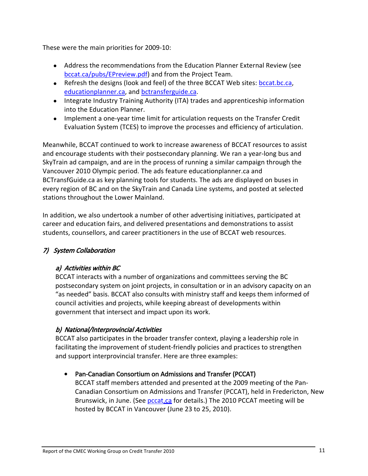These were the main priorities for 2009‐10:

- Address the recommendations from the Education Planner External Review (see [bccat.ca/pubs/EPreview.pdf](http://www.bccat.ca/pubs/EPreview.pdf)) and from the Project Team.
- Refresh the designs (look and feel) of the three BCCAT Web sites: bccat.bc.ca, educationplanner.ca, and bctransferguide.ca.
- Integrate Industry Training Authority (ITA) trades and apprenticeship information into the Education Planner.
- Implement a one‐year time limit for articulation requests on the Transfer Credit Evaluation System (TCES) to improve the processes and efficiency of articulation.

Meanwhile, BCCAT continued to work to increase awareness of BCCAT resources to assist and encourage students with their postsecondary planning. We ran a year‐long bus and SkyTrain ad campaign, and are in the process of running a similar campaign through the Vancouver 2010 Olympic period. The ads feature educationplanner.ca and BCTransfGuide.ca as key planning tools for students. The ads are displayed on buses in every region of BC and on the SkyTrain and Canada Line systems, and posted at selected stations throughout the Lower Mainland.

In addition, we also undertook a number of other advertising initiatives, participated at career and education fairs, and delivered presentations and demonstrations to assist students, counsellors, and career practitioners in the use of BCCAT web resources.

## 7) System Collaboration

## a) Activities within BC

BCCAT interacts with a number of organizations and committees serving the BC postsecondary system on joint projects, in consultation or in an advisory capacity on an "as needed" basis. BCCAT also consults with ministry staff and keeps them informed of council activities and projects, while keeping abreast of developments within government that intersect and impact upon its work.

## b) National/Interprovincial Activities

BCCAT also participates in the broader transfer context, playing a leadership role in facilitating the improvement of student‐friendly policies and practices to strengthen and support interprovincial transfer. Here are three examples:

## • Pan‐Canadian Consortium on Admissions and Transfer (PCCAT)

BCCAT staff members attended and presented at the 2009 meeting of the Pan‐ Canadian Consortium on Admissions and Transfer (PCCAT), held in Fredericton, New Brunswick, in June. (See [pccat.](http://www.pccat.ca/)ca for details.) The 2010 PCCAT meeting will be hosted by BCCAT in Vancouver (June 23 to 25, 2010).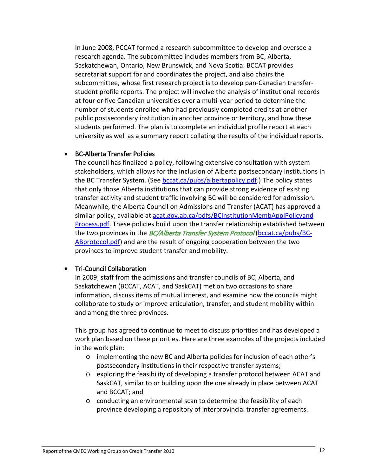In June 2008, PCCAT formed a research subcommittee to develop and oversee a research agenda. The subcommittee includes members from BC, Alberta, Saskatchewan, Ontario, New Brunswick, and Nova Scotia. BCCAT provides secretariat support for and coordinates the project, and also chairs the subcommittee, whose first research project is to develop pan‐Canadian transfer‐ student profile reports. The project will involve the analysis of institutional records at four or five Canadian universities over a multi‐year period to determine the number of students enrolled who had previously completed credits at another public postsecondary institution in another province or territory, and how these students performed. The plan is to complete an individual profile report at each university as well as a summary report collating the results of the individual reports.

#### • BC‐Alberta Transfer Policies

The council has finalized a policy, following extensive consultation with system stakeholders, which allows for the inclusion of Alberta postsecondary institutions in the BC Transfer System. (See bccat.ca/pubs/albertapolicy.pdf.) The policy states that only those Alberta institutions that can provide strong evidence of existing transfer activity and student traffic involving BC will be considered for admission. Meanwhile, the Alberta Council on Admissions and Transfer (ACAT) has approved a similar policy, available at acat.gov.ab.ca/pdfs/BCInstitutionMembApplPolicyand Process.pdf. These policies build upon the transfer relationship established between the two provinces in the *BC/Alberta Transfer System Protocol* (bccat.ca/pubs/BC-ABprotocol.pdf) and are the result of ongoing cooperation between the two provinces to improve student transfer and mobility.

#### • Tri-Council Collaboration

In 2009, staff from the admissions and transfer councils of BC, Alberta, and Saskatchewan (BCCAT, ACAT, and SaskCAT) met on two occasions to share information, discuss items of mutual interest, and examine how the councils might collaborate to study or improve articulation, transfer, and student mobility within and among the three provinces.

This group has agreed to continue to meet to discuss priorities and has developed a work plan based on these priorities. Here are three examples of the projects included in the work plan:

- o implementing the new BC and Alberta policies for inclusion of each other's postsecondary institutions in their respective transfer systems;
- o exploring the feasibility of developing a transfer protocol between ACAT and SaskCAT, similar to or building upon the one already in place between ACAT and BCCAT; and
- o conducting an environmental scan to determine the feasibility of each province developing a repository of interprovincial transfer agreements.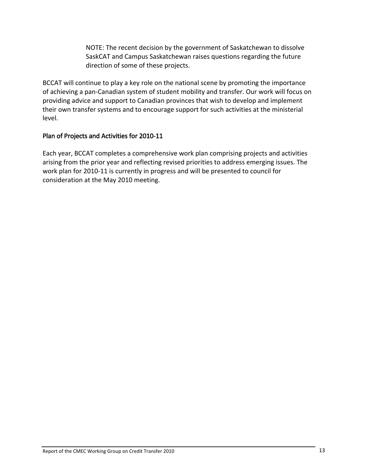NOTE: The recent decision by the government of Saskatchewan to dissolve SaskCAT and Campus Saskatchewan raises questions regarding the future direction of some of these projects.

<span id="page-16-0"></span>BCCAT will continue to play a key role on the national scene by promoting the importance of achieving a pan‐Canadian system of student mobility and transfer. Our work will focus on providing advice and support to Canadian provinces that wish to develop and implement their own transfer systems and to encourage support for such activities at the ministerial level.

#### Plan of Projects and Activities for 2010‐11

Each year, BCCAT completes a comprehensive work plan comprising projects and activities arising from the prior year and reflecting revised priorities to address emerging issues. The work plan for 2010‐11 is currently in progress and will be presented to council for consideration at the May 2010 meeting.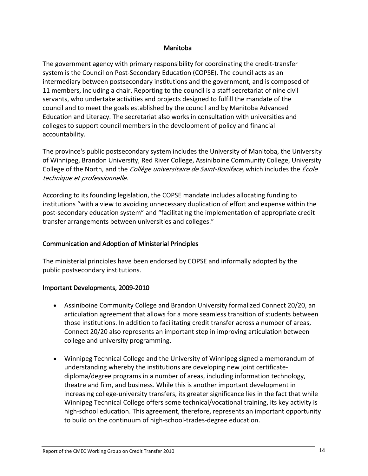#### Manitoba

<span id="page-17-0"></span>The government agency with primary responsibility for coordinating the credit‐transfer system is the Council on Post‐Secondary Education (COPSE). The council acts as an intermediary between postsecondary institutions and the government, and is composed of 11 members, including a chair. Reporting to the council is a staff secretariat of nine civil servants, who undertake activities and projects designed to fulfill the mandate of the council and to meet the goals established by the council and by Manitoba Advanced Education and Literacy. The secretariat also works in consultation with universities and colleges to support council members in the development of policy and financial accountability.

The province's public postsecondary system includes the University of Manitoba, the University of Winnipeg, Brandon University, Red River College, Assiniboine Community College, University College of the North, and the *Collège universitaire de Saint-Boniface*, which includes the *École* technique et professionnelle.

According to its founding legislation, the COPSE mandate includes allocating funding to institutions "with a view to avoiding unnecessary duplication of effort and expense within the post-secondary education system" and "facilitating the implementation of appropriate credit transfer arrangements between universities and colleges."

#### Communication and Adoption of Ministerial Principles

The ministerial principles have been endorsed by COPSE and informally adopted by the public postsecondary institutions.

## Important Developments, 2009‐2010

- Assiniboine Community College and Brandon University formalized Connect 20/20, an articulation agreement that allows for a more seamless transition of students between those institutions. In addition to facilitating credit transfer across a number of areas, Connect 20/20 also represents an important step in improving articulation between college and university programming.
- Winnipeg Technical College and the University of Winnipeg signed a memorandum of understanding whereby the institutions are developing new joint certificate‐ diploma/degree programs in a number of areas, including information technology, theatre and film, and business. While this is another important development in increasing college-university transfers, its greater significance lies in the fact that while Winnipeg Technical College offers some technical/vocational training, its key activity is high-school education. This agreement, therefore, represents an important opportunity to build on the continuum of high‐school‐trades‐degree education.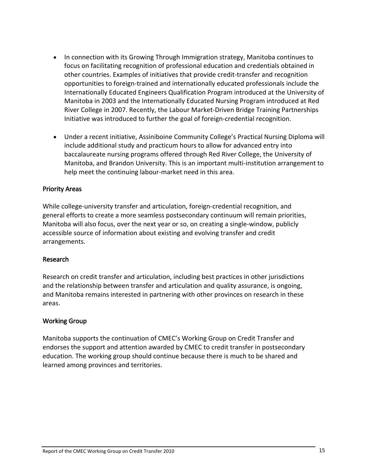- <span id="page-18-0"></span>• In connection with its Growing Through Immigration strategy, Manitoba continues to focus on facilitating recognition of professional education and credentials obtained in other countries. Examples of initiatives that provide credit‐transfer and recognition opportunities to foreign‐trained and internationally educated professionals include the Internationally Educated Engineers Qualification Program introduced at the University of Manitoba in 2003 and the Internationally Educated Nursing Program introduced at Red River College in 2007. Recently, the Labour Market‐Driven Bridge Training Partnerships Initiative was introduced to further the goal of foreign‐credential recognition.
- Under a recent initiative, Assiniboine Community College's Practical Nursing Diploma will include additional study and practicum hours to allow for advanced entry into baccalaureate nursing programs offered through Red River College, the University of Manitoba, and Brandon University. This is an important multi‐institution arrangement to help meet the continuing labour-market need in this area.

#### Priority Areas

While college-university transfer and articulation, foreign-credential recognition, and general efforts to create a more seamless postsecondary continuum will remain priorities, Manitoba will also focus, over the next year or so, on creating a single‐window, publicly accessible source of information about existing and evolving transfer and credit arrangements.

#### Research

Research on credit transfer and articulation, including best practices in other jurisdictions and the relationship between transfer and articulation and quality assurance, is ongoing, and Manitoba remains interested in partnering with other provinces on research in these areas.

## Working Group

Manitoba supports the continuation of CMEC's Working Group on Credit Transfer and endorses the support and attention awarded by CMEC to credit transfer in postsecondary education. The working group should continue because there is much to be shared and learned among provinces and territories.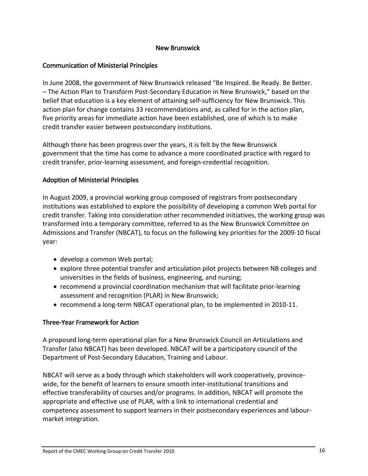#### New Brunswick

#### <span id="page-19-0"></span>Communication of Ministerial Principles

In June 2008, the government of New Brunswick released "Be Inspired. Be Ready. Be Better. – The Action Plan to Transform Post‐Secondary Education in New Brunswick," based on the belief that education is a key element of attaining self-sufficiency for New Brunswick. This action plan for change contains 33 recommendations and, as called for in the action plan, five priority areas for immediate action have been established, one of which is to make credit transfer easier between postsecondary institutions.

Although there has been progress over the years, it is felt by the New Brunswick government that the time has come to advance a more coordinated practice with regard to credit transfer, prior‐learning assessment, and foreign‐credential recognition.

#### Adoption of Ministerial Principles

In August 2009, a provincial working group composed of registrars from postsecondary institutions was established to explore the possibility of developing a common Web portal for credit transfer. Taking into consideration other recommended initiatives, the working group was transformed into a temporary committee, referred to as the New Brunswick Committee on Admissions and Transfer (NBCAT), to focus on the following key priorities for the 2009‐10 fiscal year:

- develop a common Web portal;
- explore three potential transfer and articulation pilot projects between NB colleges and universities in the fields of business, engineering, and nursing;
- recommend a provincial coordination mechanism that will facilitate prior‐learning assessment and recognition (PLAR) in New Brunswick;
- recommend a long‐term NBCAT operational plan, to be implemented in 2010‐11.

#### Three‐Year Framework for Action

A proposed long‐term operational plan for a New Brunswick Council on Articulations and Transfer (also NBCAT) has been developed. NBCAT will be a participatory council of the Department of Post‐Secondary Education, Training and Labour.

NBCAT will serve as a body through which stakeholders will work cooperatively, province‐ wide, for the benefit of learners to ensure smooth inter-institutional transitions and effective transferability of courses and/or programs. In addition, NBCAT will promote the appropriate and effective use of PLAR, with a link to international credential and competency assessment to support learners in their postsecondary experiences and labour‐ market integration.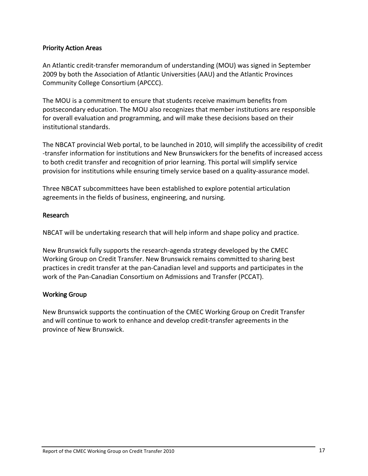#### <span id="page-20-0"></span>Priority Action Areas

An Atlantic credit‐transfer memorandum of understanding (MOU) was signed in September 2009 by both the Association of Atlantic Universities (AAU) and the Atlantic Provinces Community College Consortium (APCCC).

The MOU is a commitment to ensure that students receive maximum benefits from postsecondary education. The MOU also recognizes that member institutions are responsible for overall evaluation and programming, and will make these decisions based on their institutional standards.

The NBCAT provincial Web portal, to be launched in 2010, will simplify the accessibility of credit ‐transfer information for institutions and New Brunswickers for the benefits of increased access to both credit transfer and recognition of prior learning. This portal will simplify service provision for institutions while ensuring timely service based on a quality‐assurance model.

Three NBCAT subcommittees have been established to explore potential articulation agreements in the fields of business, engineering, and nursing.

#### Research

NBCAT will be undertaking research that will help inform and shape policy and practice.

New Brunswick fully supports the research‐agenda strategy developed by the CMEC Working Group on Credit Transfer. New Brunswick remains committed to sharing best practices in credit transfer at the pan‐Canadian level and supports and participates in the work of the Pan‐Canadian Consortium on Admissions and Transfer (PCCAT).

#### Working Group

New Brunswick supports the continuation of the CMEC Working Group on Credit Transfer and will continue to work to enhance and develop credit‐transfer agreements in the province of New Brunswick.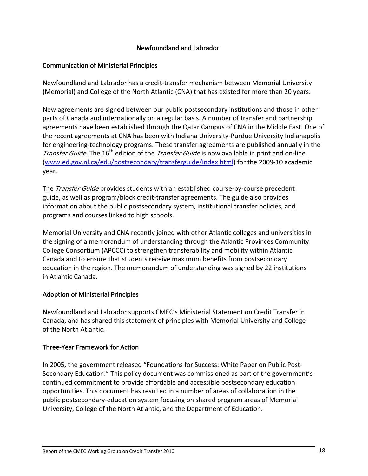#### Newfoundland and Labrador

#### <span id="page-21-0"></span>Communication of Ministerial Principles

Newfoundland and Labrador has a credit‐transfer mechanism between Memorial University (Memorial) and College of the North Atlantic (CNA) that has existed for more than 20 years.

New agreements are signed between our public postsecondary institutions and those in other parts of Canada and internationally on a regular basis. A number of transfer and partnership agreements have been established through the Qatar Campus of CNA in the Middle East. One of the recent agreements at CNA has been with Indiana University‐Purdue University Indianapolis for engineering-technology programs. These transfer agreements are published annually in the Transfer Guide. The 16<sup>th</sup> edition of the Transfer Guide is now available in print and on-line ([www.ed.gov.nl.ca/edu/postsecondary/transferguide/index.html](http://www.ed.gov.nl.ca/edu/postsecondary/transferguide/index.html)) for the 2009‐10 academic year.

The Transfer Guide provides students with an established course-by-course precedent guide, as well as program/block credit‐transfer agreements. The guide also provides information about the public postsecondary system, institutional transfer policies, and programs and courses linked to high schools.

Memorial University and CNA recently joined with other Atlantic colleges and universities in the signing of a memorandum of understanding through the Atlantic Provinces Community College Consortium (APCCC) to strengthen transferability and mobility within Atlantic Canada and to ensure that students receive maximum benefits from postsecondary education in the region. The memorandum of understanding was signed by 22 institutions in Atlantic Canada.

## Adoption of Ministerial Principles

Newfoundland and Labrador supports CMEC's Ministerial Statement on Credit Transfer in Canada, and has shared this statement of principles with Memorial University and College of the North Atlantic.

#### Three‐Year Framework for Action

In 2005, the government released "Foundations for Success: White Paper on Public Post‐ Secondary Education." This policy document was commissioned as part of the government's continued commitment to provide affordable and accessible postsecondary education opportunities. This document has resulted in a number of areas of collaboration in the public postsecondary‐education system focusing on shared program areas of Memorial University, College of the North Atlantic, and the Department of Education.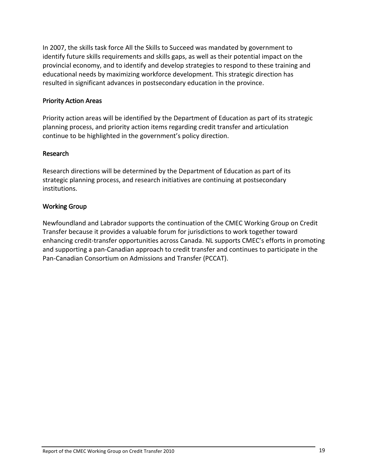<span id="page-22-0"></span>In 2007, the skills task force All the Skills to Succeed was mandated by government to identify future skills requirements and skills gaps, as well as their potential impact on the provincial economy, and to identify and develop strategies to respond to these training and educational needs by maximizing workforce development. This strategic direction has resulted in significant advances in postsecondary education in the province.

#### Priority Action Areas

Priority action areas will be identified by the Department of Education as part of its strategic planning process, and priority action items regarding credit transfer and articulation continue to be highlighted in the government's policy direction.

#### Research

Research directions will be determined by the Department of Education as part of its strategic planning process, and research initiatives are continuing at postsecondary institutions.

#### Working Group

Newfoundland and Labrador supports the continuation of the CMEC Working Group on Credit Transfer because it provides a valuable forum for jurisdictions to work together toward enhancing credit-transfer opportunities across Canada. NL supports CMEC's efforts in promoting and supporting a pan‐Canadian approach to credit transfer and continues to participate in the Pan‐Canadian Consortium on Admissions and Transfer (PCCAT).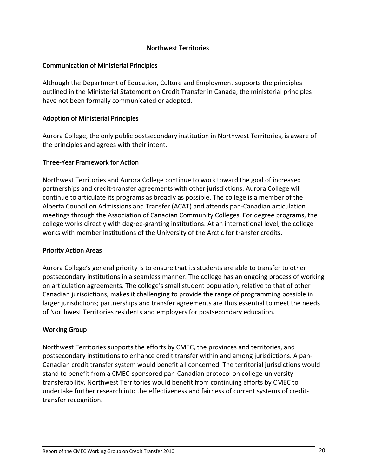#### Northwest Territories

#### <span id="page-23-0"></span>Communication of Ministerial Principles

Although the Department of Education, Culture and Employment supports the principles outlined in the Ministerial Statement on Credit Transfer in Canada, the ministerial principles have not been formally communicated or adopted.

#### Adoption of Ministerial Principles

Aurora College, the only public postsecondary institution in Northwest Territories, is aware of the principles and agrees with their intent.

#### Three‐Year Framework for Action

Northwest Territories and Aurora College continue to work toward the goal of increased partnerships and credit‐transfer agreements with other jurisdictions. Aurora College will continue to articulate its programs as broadly as possible. The college is a member of the Alberta Council on Admissions and Transfer (ACAT) and attends pan‐Canadian articulation meetings through the Association of Canadian Community Colleges. For degree programs, the college works directly with degree‐granting institutions. At an international level, the college works with member institutions of the University of the Arctic for transfer credits.

#### Priority Action Areas

Aurora College's general priority is to ensure that its students are able to transfer to other postsecondary institutions in a seamless manner. The college has an ongoing process of working on articulation agreements. The college's small student population, relative to that of other Canadian jurisdictions, makes it challenging to provide the range of programming possible in larger jurisdictions; partnerships and transfer agreements are thus essential to meet the needs of Northwest Territories residents and employers for postsecondary education.

#### Working Group

Northwest Territories supports the efforts by CMEC, the provinces and territories, and postsecondary institutions to enhance credit transfer within and among jurisdictions. A pan‐ Canadian credit transfer system would benefit all concerned. The territorial jurisdictions would stand to benefit from a CMEC‐sponsored pan‐Canadian protocol on college‐university transferability. Northwest Territories would benefit from continuing efforts by CMEC to undertake further research into the effectiveness and fairness of current systems of credit‐ transfer recognition.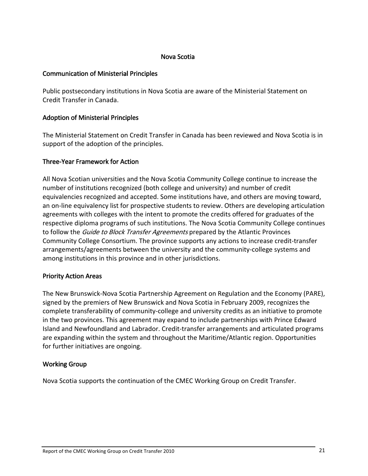#### Nova Scotia

#### <span id="page-24-0"></span>Communication of Ministerial Principles

Public postsecondary institutions in Nova Scotia are aware of the Ministerial Statement on Credit Transfer in Canada.

#### Adoption of Ministerial Principles

The Ministerial Statement on Credit Transfer in Canada has been reviewed and Nova Scotia is in support of the adoption of the principles.

#### Three‐Year Framework for Action

All Nova Scotian universities and the Nova Scotia Community College continue to increase the number of institutions recognized (both college and university) and number of credit equivalencies recognized and accepted. Some institutions have, and others are moving toward, an on‐line equivalency list for prospective students to review. Others are developing articulation agreements with colleges with the intent to promote the credits offered for graduates of the respective diploma programs of such institutions. The Nova Scotia Community College continues to follow the *Guide to Block Transfer Agreements* prepared by the Atlantic Provinces Community College Consortium. The province supports any actions to increase credit‐transfer arrangements/agreements between the university and the community-college systems and among institutions in this province and in other jurisdictions.

#### Priority Action Areas

The New Brunswick‐Nova Scotia Partnership Agreement on Regulation and the Economy (PARE), signed by the premiers of New Brunswick and Nova Scotia in February 2009, recognizes the complete transferability of community‐college and university credits as an initiative to promote in the two provinces. This agreement may expand to include partnerships with Prince Edward Island and Newfoundland and Labrador. Credit‐transfer arrangements and articulated programs are expanding within the system and throughout the Maritime/Atlantic region. Opportunities for further initiatives are ongoing.

#### Working Group

Nova Scotia supports the continuation of the CMEC Working Group on Credit Transfer.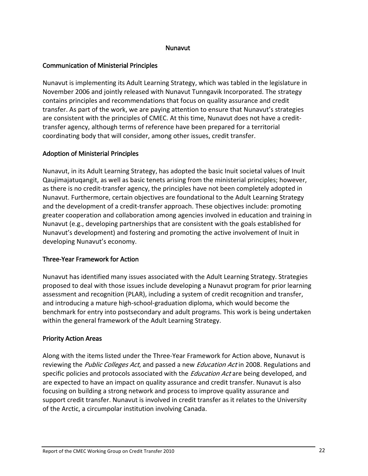#### Nunavut

#### <span id="page-25-0"></span>Communication of Ministerial Principles

Nunavut is implementing its Adult Learning Strategy, which was tabled in the legislature in November 2006 and jointly released with Nunavut Tunngavik Incorporated. The strategy contains principles and recommendations that focus on quality assurance and credit transfer. As part of the work, we are paying attention to ensure that Nunavut's strategies are consistent with the principles of CMEC. At this time, Nunavut does not have a credit‐ transfer agency, although terms of reference have been prepared for a territorial coordinating body that will consider, among other issues, credit transfer.

#### Adoption of Ministerial Principles

Nunavut, in its Adult Learning Strategy, has adopted the basic Inuit societal values of Inuit Qaujimajatuqangit, as well as basic tenets arising from the ministerial principles; however, as there is no credit‐transfer agency, the principles have not been completely adopted in Nunavut. Furthermore, certain objectives are foundational to the Adult Learning Strategy and the development of a credit‐transfer approach. These objectives include: promoting greater cooperation and collaboration among agencies involved in education and training in Nunavut (e.g., developing partnerships that are consistent with the goals established for Nunavut's development) and fostering and promoting the active involvement of Inuit in developing Nunavut's economy.

## Three‐Year Framework for Action

Nunavut has identified many issues associated with the Adult Learning Strategy. Strategies proposed to deal with those issues include developing a Nunavut program for prior learning assessment and recognition (PLAR), including a system of credit recognition and transfer, and introducing a mature high‐school‐graduation diploma, which would become the benchmark for entry into postsecondary and adult programs. This work is being undertaken within the general framework of the Adult Learning Strategy.

#### Priority Action Areas

Along with the items listed under the Three‐Year Framework for Action above, Nunavut is reviewing the *Public Colleges Act*, and passed a new *Education Act* in 2008. Regulations and specific policies and protocols associated with the *Education Act* are being developed, and are expected to have an impact on quality assurance and credit transfer. Nunavut is also focusing on building a strong network and process to improve quality assurance and support credit transfer. Nunavut is involved in credit transfer as it relates to the University of the Arctic, a circumpolar institution involving Canada.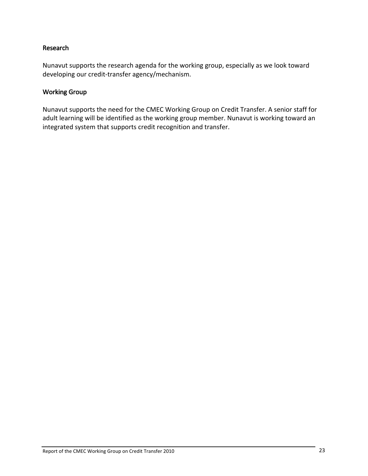#### <span id="page-26-0"></span>Research

Nunavut supports the research agenda for the working group, especially as we look toward developing our credit‐transfer agency/mechanism.

#### Working Group

Nunavut supports the need for the CMEC Working Group on Credit Transfer. A senior staff for adult learning will be identified as the working group member. Nunavut is working toward an integrated system that supports credit recognition and transfer.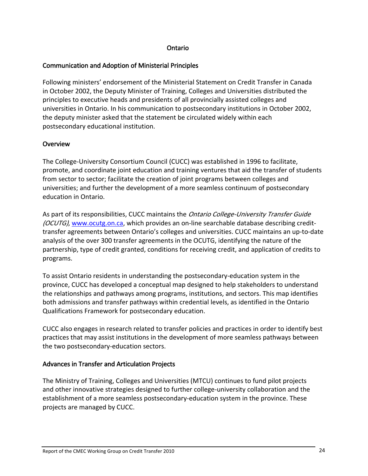#### Ontario

#### <span id="page-27-0"></span>Communication and Adoption of Ministerial Principles

Following ministers' endorsement of the Ministerial Statement on Credit Transfer in Canada in October 2002, the Deputy Minister of Training, Colleges and Universities distributed the principles to executive heads and presidents of all provincially assisted colleges and universities in Ontario. In his communication to postsecondary institutions in October 2002, the deputy minister asked that the statement be circulated widely within each postsecondary educational institution.

#### **Overview**

The College‐University Consortium Council (CUCC) was established in 1996 to facilitate, promote, and coordinate joint education and training ventures that aid the transfer of students from sector to sector; facilitate the creation of joint programs between colleges and universities; and further the development of a more seamless continuum of postsecondary education in Ontario.

As part of its responsibilities, CUCC maintains the *Ontario College-University Transfer Guide* (OCUTG), [www.ocutg.on.ca](http://www.ocutg.on.ca/), which provides an on‐line searchable database describing credit‐ transfer agreements between Ontario's colleges and universities. CUCC maintains an up‐to‐date analysis of the over 300 transfer agreements in the OCUTG, identifying the nature of the partnership, type of credit granted, conditions for receiving credit, and application of credits to programs.

To assist Ontario residents in understanding the postsecondary‐education system in the province, CUCC has developed a conceptual map designed to help stakeholders to understand the relationships and pathways among programs, institutions, and sectors. This map identifies both admissions and transfer pathways within credential levels, as identified in the Ontario Qualifications Framework for postsecondary education.

CUCC also engages in research related to transfer policies and practices in order to identify best practices that may assist institutions in the development of more seamless pathways between the two postsecondary‐education sectors.

#### Advances in Transfer and Articulation Projects

The Ministry of Training, Colleges and Universities (MTCU) continues to fund pilot projects and other innovative strategies designed to further college-university collaboration and the establishment of a more seamless postsecondary‐education system in the province. These projects are managed by CUCC.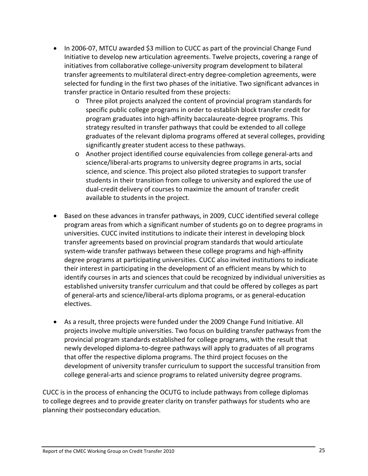- In 2006-07, MTCU awarded \$3 million to CUCC as part of the provincial Change Fund Initiative to develop new articulation agreements. Twelve projects, covering a range of initiatives from collaborative college‐university program development to bilateral transfer agreements to multilateral direct‐entry degree‐completion agreements, were selected for funding in the first two phases of the initiative. Two significant advances in transfer practice in Ontario resulted from these projects:
	- o Three pilot projects analyzed the content of provincial program standards for specific public college programs in order to establish block transfer credit for program graduates into high‐affinity baccalaureate‐degree programs. This strategy resulted in transfer pathways that could be extended to all college graduates of the relevant diploma programs offered at several colleges, providing significantly greater student access to these pathways.
	- o Another project identified course equivalencies from college general‐arts and science/liberal‐arts programs to university degree programs in arts, social science, and science. This project also piloted strategies to support transfer students in their transition from college to university and explored the use of dual‐credit delivery of courses to maximize the amount of transfer credit available to students in the project.
- Based on these advances in transfer pathways, in 2009, CUCC identified several college program areas from which a significant number of students go on to degree programs in universities. CUCC invited institutions to indicate their interest in developing block transfer agreements based on provincial program standards that would articulate system-wide transfer pathways between these college programs and high-affinity degree programs at participating universities. CUCC also invited institutions to indicate their interest in participating in the development of an efficient means by which to identify courses in arts and sciences that could be recognized by individual universities as established university transfer curriculum and that could be offered by colleges as part of general‐arts and science/liberal‐arts diploma programs, or as general‐education electives.
- As a result, three projects were funded under the 2009 Change Fund Initiative. All projects involve multiple universities. Two focus on building transfer pathways from the provincial program standards established for college programs, with the result that newly developed diploma‐to‐degree pathways will apply to graduates of all programs that offer the respective diploma programs. The third project focuses on the development of university transfer curriculum to support the successful transition from college general‐arts and science programs to related university degree programs.

CUCC is in the process of enhancing the OCUTG to include pathways from college diplomas to college degrees and to provide greater clarity on transfer pathways for students who are planning their postsecondary education.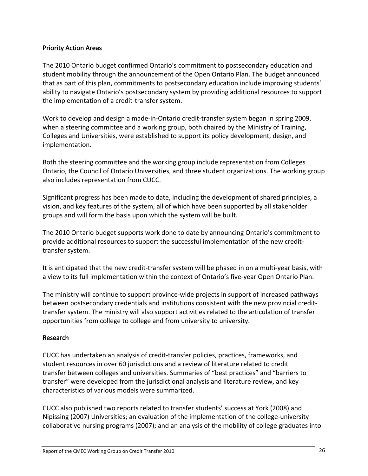#### <span id="page-29-0"></span>Priority Action Areas

The 2010 Ontario budget confirmed Ontario's commitment to postsecondary education and student mobility through the announcement of the Open Ontario Plan. The budget announced that as part of this plan, commitments to postsecondary education include improving students' ability to navigate Ontario's postsecondary system by providing additional resources to support the implementation of a credit‐transfer system.

Work to develop and design a made‐in‐Ontario credit‐transfer system began in spring 2009, when a steering committee and a working group, both chaired by the Ministry of Training, Colleges and Universities, were established to support its policy development, design, and implementation.

Both the steering committee and the working group include representation from Colleges Ontario, the Council of Ontario Universities, and three student organizations. The working group also includes representation from CUCC.

Significant progress has been made to date, including the development of shared principles, a vision, and key features of the system, all of which have been supported by all stakeholder groups and will form the basis upon which the system will be built.

The 2010 Ontario budget supports work done to date by announcing Ontario's commitment to provide additional resources to support the successful implementation of the new credit‐ transfer system.

It is anticipated that the new credit‐transfer system will be phased in on a multi‐year basis, with a view to its full implementation within the context of Ontario's five-year Open Ontario Plan.

The ministry will continue to support province-wide projects in support of increased pathways between postsecondary credentials and institutions consistent with the new provincial credit‐ transfer system. The ministry will also support activities related to the articulation of transfer opportunities from college to college and from university to university.

#### Research

CUCC has undertaken an analysis of credit‐transfer policies, practices, frameworks, and student resources in over 60 jurisdictions and a review of literature related to credit transfer between colleges and universities. Summaries of "best practices" and "barriers to transfer" were developed from the jurisdictional analysis and literature review, and key characteristics of various models were summarized.

CUCC also published two reports related to transfer students' success at York (2008) and Nipissing (2007) Universities; an evaluation of the implementation of the college‐university collaborative nursing programs (2007); and an analysis of the mobility of college graduates into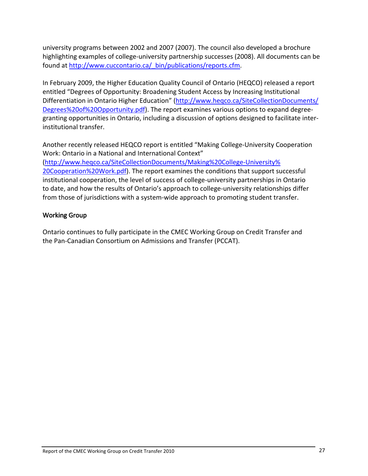<span id="page-30-0"></span>university programs between 2002 and 2007 (2007). The council also developed a brochure highlighting examples of college‐university partnership successes (2008). All documents can be found at [http://www.cuccontario.ca/\\_bin/publications/reports.cfm](http://www.cuccontario.ca/_bin/publications/reports.cfm).

In February 2009, the Higher Education Quality Council of Ontario (HEQCO) released a report entitled "Degrees of Opportunity: Broadening Student Access by Increasing Institutional Differentiation in Ontario Higher Education" [\(http://www.heqco.ca/SiteCollectionDocuments/](http://www.heqco.ca/SiteCollectionDocuments/%0BDegrees%20of%20Opportunity.pdf) [Degrees%20of%20Opportunity.pdf](http://www.heqco.ca/SiteCollectionDocuments/%0BDegrees%20of%20Opportunity.pdf)). The report examines various options to expand degree‐ granting opportunities in Ontario, including a discussion of options designed to facilitate inter‐ institutional transfer.

Another recently released HEQCO report is entitled "Making College‐University Cooperation Work: Ontario in a National and International Context" ([http://www.heqco.ca/SiteCollectionDocuments/Making%20College](http://www.heqco.ca/SiteCollectionDocuments/Making%20College-University%20Cooperation%20Work.pdf)‐University% [20Cooperation%20Work.pdf](http://www.heqco.ca/SiteCollectionDocuments/Making%20College-University%20Cooperation%20Work.pdf)). The report examines the conditions that support successful institutional cooperation, the level of success of college‐university partnerships in Ontario to date, and how the results of Ontario's approach to college-university relationships differ from those of jurisdictions with a system-wide approach to promoting student transfer.

#### Working Group

Ontario continues to fully participate in the CMEC Working Group on Credit Transfer and the Pan‐Canadian Consortium on Admissions and Transfer (PCCAT).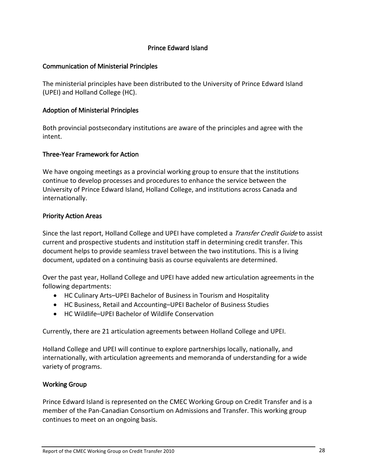#### Prince Edward Island

#### <span id="page-31-0"></span>Communication of Ministerial Principles

The ministerial principles have been distributed to the University of Prince Edward Island (UPEI) and Holland College (HC).

#### Adoption of Ministerial Principles

Both provincial postsecondary institutions are aware of the principles and agree with the intent.

#### Three‐Year Framework for Action

We have ongoing meetings as a provincial working group to ensure that the institutions continue to develop processes and procedures to enhance the service between the University of Prince Edward Island, Holland College, and institutions across Canada and internationally.

#### Priority Action Areas

Since the last report, Holland College and UPEI have completed a *Transfer Credit Guide* to assist current and prospective students and institution staff in determining credit transfer. This document helps to provide seamless travel between the two institutions. This is a living document, updated on a continuing basis as course equivalents are determined.

Over the past year, Holland College and UPEI have added new articulation agreements in the following departments:

- HC Culinary Arts–UPEI Bachelor of Business in Tourism and Hospitality
- HC Business, Retail and Accounting–UPEI Bachelor of Business Studies
- HC Wildlife–UPEI Bachelor of Wildlife Conservation

Currently, there are 21 articulation agreements between Holland College and UPEI.

Holland College and UPEI will continue to explore partnerships locally, nationally, and internationally, with articulation agreements and memoranda of understanding for a wide variety of programs.

#### Working Group

Prince Edward Island is represented on the CMEC Working Group on Credit Transfer and is a member of the Pan‐Canadian Consortium on Admissions and Transfer. This working group continues to meet on an ongoing basis.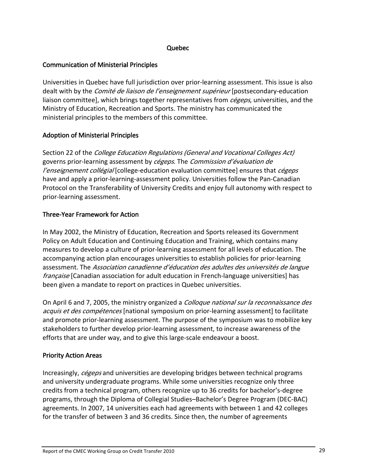#### Quebec

#### <span id="page-32-0"></span>Communication of Ministerial Principles

Universities in Quebec have full jurisdiction over prior‐learning assessment. This issue is also dealt with by the *Comité de liaison de l'enseignement supérieur* [postsecondary-education liaison committee], which brings together representatives from *cégeps*, universities, and the Ministry of Education, Recreation and Sports. The ministry has communicated the ministerial principles to the members of this committee.

#### Adoption of Ministerial Principles

Section 22 of the *College Education Regulations (General and Vocational Colleges Act)* governs prior-learning assessment by *cégeps*. The *Commission d'évaluation de* l'enseignement collégial [college-education evaluation committee] ensures that cégeps have and apply a prior-learning-assessment policy. Universities follow the Pan-Canadian Protocol on the Transferability of University Credits and enjoy full autonomy with respect to prior‐learning assessment.

#### Three‐Year Framework for Action

In May 2002, the Ministry of Education, Recreation and Sports released its Government Policy on Adult Education and Continuing Education and Training, which contains many measures to develop a culture of prior‐learning assessment for all levels of education. The accompanying action plan encourages universities to establish policies for prior‐learning assessment. The Association canadienne d'éducation des adultes des universités de langue française [Canadian association for adult education in French-language universities] has been given a mandate to report on practices in Quebec universities.

On April 6 and 7, 2005, the ministry organized a *Colloque national sur la reconnaissance des* acquis et des compétences [national symposium on prior-learning assessment] to facilitate and promote prior-learning assessment. The purpose of the symposium was to mobilize key stakeholders to further develop prior‐learning assessment, to increase awareness of the efforts that are under way, and to give this large‐scale endeavour a boost.

#### Priority Action Areas

Increasingly, cégeps and universities are developing bridges between technical programs and university undergraduate programs. While some universities recognize only three credits from a technical program, others recognize up to 36 credits for bachelor's‐degree programs, through the Diploma of Collegial Studies–Bachelor's Degree Program (DEC‐BAC) agreements. In 2007, 14 universities each had agreements with between 1 and 42 colleges for the transfer of between 3 and 36 credits. Since then, the number of agreements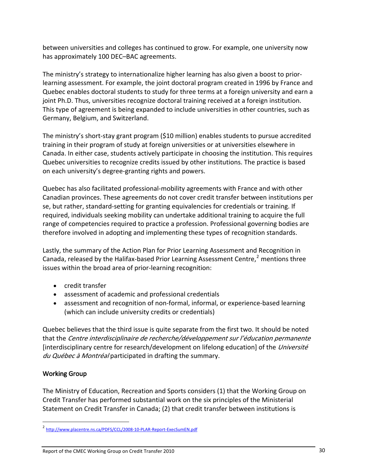<span id="page-33-0"></span>between universities and colleges has continued to grow. For example, one university now has approximately 100 DEC–BAC agreements.

The ministry's strategy to internationalize higher learning has also given a boost to prior‐ learning assessment. For example, the joint doctoral program created in 1996 by France and Quebec enables doctoral students to study for three terms at a foreign university and earn a joint Ph.D. Thus, universities recognize doctoral training received at a foreign institution. This type of agreement is being expanded to include universities in other countries, such as Germany, Belgium, and Switzerland.

The ministry's short-stay grant program (\$10 million) enables students to pursue accredited training in their program of study at foreign universities or at universities elsewhere in Canada. In either case, students actively participate in choosing the institution. This requires Quebec universities to recognize credits issued by other institutions. The practice is based on each university's degree‐granting rights and powers.

Quebec has also facilitated professional‐mobility agreements with France and with other Canadian provinces. These agreements do not cover credit transfer between institutions per se, but rather, standard‐setting for granting equivalencies for credentials or training. If required, individuals seeking mobility can undertake additional training to acquire the full range of competencies required to practice a profession. Professional governing bodies are therefore involved in adopting and implementing these types of recognition standards.

Lastly, the summary of the Action Plan for Prior Learning Assessment and Recognition in Canada, released by the Halifax-based Prior Learning Assessment Centre, $2$  mentions three issues within the broad area of prior‐learning recognition:

- credit transfer
- assessment of academic and professional credentials
- assessment and recognition of non-formal, informal, or experience-based learning (which can include university credits or credentials)

Quebec believes that the third issue is quite separate from the first two. It should be noted that the Centre interdisciplinaire de recherche/développement sur l'éducation permanente [interdisciplinary centre for research/development on lifelong education] of the *Université* du Québec à Montréal participated in drafting the summary.

## Working Group

-

The Ministry of Education, Recreation and Sports considers (1) that the Working Group on Credit Transfer has performed substantial work on the six principles of the Ministerial Statement on Credit Transfer in Canada; (2) that credit transfer between institutions is

<span id="page-33-1"></span><sup>&</sup>lt;sup>2</sup> [http://www.placentre.ns.ca/PDFS/CCL/2008](http://www.placentre.ns.ca/PDFS/CCL/2008-10-PLAR-Report-ExecSumEN.pdf)-10-PLAR-Report-ExecSumEN.pdf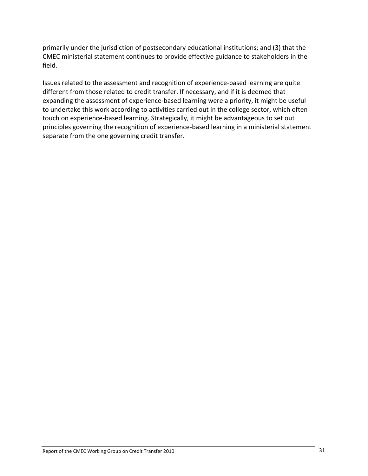primarily under the jurisdiction of postsecondary educational institutions; and (3) that the CMEC ministerial statement continues to provide effective guidance to stakeholders in the field.

Issues related to the assessment and recognition of experience‐based learning are quite different from those related to credit transfer. If necessary, and if it is deemed that expanding the assessment of experience‐based learning were a priority, it might be useful to undertake this work according to activities carried out in the college sector, which often touch on experience‐based learning. Strategically, it might be advantageous to set out principles governing the recognition of experience‐based learning in a ministerial statement separate from the one governing credit transfer.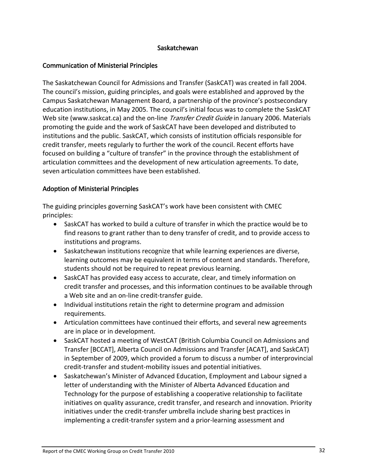#### Saskatchewan

#### <span id="page-35-0"></span>Communication of Ministerial Principles

The Saskatchewan Council for Admissions and Transfer (SaskCAT) was created in fall 2004. The council's mission, guiding principles, and goals were established and approved by the Campus Saskatchewan Management Board, a partnership of the province's postsecondary education institutions, in May 2005. The council's initial focus was to complete the SaskCAT Web site (www.saskcat.ca) and the on-line *Transfer Credit Guide* in January 2006. Materials promoting the guide and the work of SaskCAT have been developed and distributed to institutions and the public. SaskCAT, which consists of institution officials responsible for credit transfer, meets regularly to further the work of the council. Recent efforts have focused on building a "culture of transfer" in the province through the establishment of articulation committees and the development of new articulation agreements. To date, seven articulation committees have been established.

#### Adoption of Ministerial Principles

The guiding principles governing SaskCAT's work have been consistent with CMEC principles:

- SaskCAT has worked to build a culture of transfer in which the practice would be to find reasons to grant rather than to deny transfer of credit, and to provide access to institutions and programs.
- Saskatchewan institutions recognize that while learning experiences are diverse, learning outcomes may be equivalent in terms of content and standards. Therefore, students should not be required to repeat previous learning.
- SaskCAT has provided easy access to accurate, clear, and timely information on credit transfer and processes, and this information continues to be available through a Web site and an on‐line credit‐transfer guide.
- Individual institutions retain the right to determine program and admission requirements.
- Articulation committees have continued their efforts, and several new agreements are in place or in development.
- SaskCAT hosted a meeting of WestCAT (British Columbia Council on Admissions and Transfer [BCCAT], Alberta Council on Admissions and Transfer [ACAT], and SaskCAT) in September of 2009, which provided a forum to discuss a number of interprovincial credit‐transfer and student‐mobility issues and potential initiatives.
- Saskatchewan's Minister of Advanced Education, Employment and Labour signed a letter of understanding with the Minister of Alberta Advanced Education and Technology for the purpose of establishing a cooperative relationship to facilitate initiatives on quality assurance, credit transfer, and research and innovation. Priority initiatives under the credit‐transfer umbrella include sharing best practices in implementing a credit‐transfer system and a prior‐learning assessment and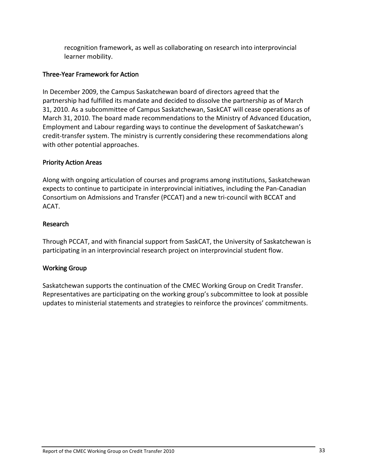<span id="page-36-0"></span>recognition framework, as well as collaborating on research into interprovincial learner mobility.

### Three‐Year Framework for Action

In December 2009, the Campus Saskatchewan board of directors agreed that the partnership had fulfilled its mandate and decided to dissolve the partnership as of March 31, 2010. As a subcommittee of Campus Saskatchewan, SaskCAT will cease operations as of March 31, 2010. The board made recommendations to the Ministry of Advanced Education, Employment and Labour regarding ways to continue the development of Saskatchewan's credit‐transfer system. The ministry is currently considering these recommendations along with other potential approaches.

#### Priority Action Areas

Along with ongoing articulation of courses and programs among institutions, Saskatchewan expects to continue to participate in interprovincial initiatives, including the Pan‐Canadian Consortium on Admissions and Transfer (PCCAT) and a new tri‐council with BCCAT and ACAT.

#### Research

Through PCCAT, and with financial support from SaskCAT, the University of Saskatchewan is participating in an interprovincial research project on interprovincial student flow.

## Working Group

Saskatchewan supports the continuation of the CMEC Working Group on Credit Transfer. Representatives are participating on the working group's subcommittee to look at possible updates to ministerial statements and strategies to reinforce the provinces' commitments.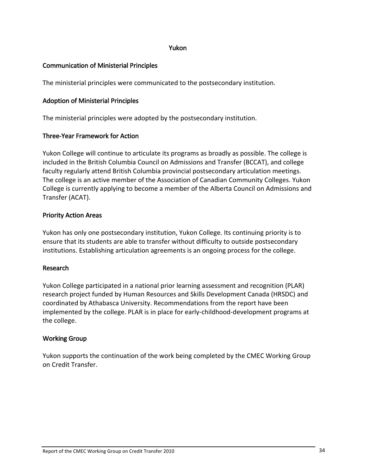#### Yukon

#### <span id="page-37-0"></span>Communication of Ministerial Principles

The ministerial principles were communicated to the postsecondary institution.

#### Adoption of Ministerial Principles

The ministerial principles were adopted by the postsecondary institution.

#### Three‐Year Framework for Action

Yukon College will continue to articulate its programs as broadly as possible. The college is included in the British Columbia Council on Admissions and Transfer (BCCAT), and college faculty regularly attend British Columbia provincial postsecondary articulation meetings. The college is an active member of the Association of Canadian Community Colleges. Yukon College is currently applying to become a member of the Alberta Council on Admissions and Transfer (ACAT).

#### Priority Action Areas

Yukon has only one postsecondary institution, Yukon College. Its continuing priority is to ensure that its students are able to transfer without difficulty to outside postsecondary institutions. Establishing articulation agreements is an ongoing process for the college.

#### Research

Yukon College participated in a national prior learning assessment and recognition (PLAR) research project funded by Human Resources and Skills Development Canada (HRSDC) and coordinated by Athabasca University. Recommendations from the report have been implemented by the college. PLAR is in place for early-childhood-development programs at the college.

#### Working Group

Yukon supports the continuation of the work being completed by the CMEC Working Group on Credit Transfer.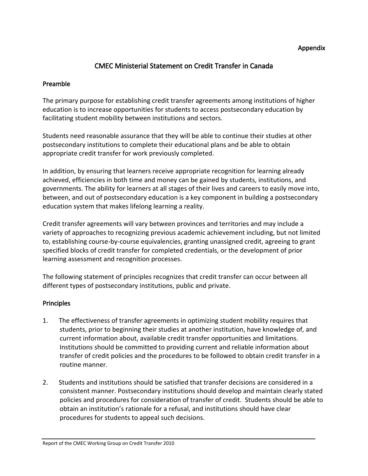#### Appendix

## CMEC Ministerial Statement on Credit Transfer in Canada

#### Preamble

The primary purpose for establishing credit transfer agreements among institutions of higher education is to increase opportunities for students to access postsecondary education by facilitating student mobility between institutions and sectors.

Students need reasonable assurance that they will be able to continue their studies at other postsecondary institutions to complete their educational plans and be able to obtain appropriate credit transfer for work previously completed.

In addition, by ensuring that learners receive appropriate recognition for learning already achieved, efficiencies in both time and money can be gained by students, institutions, and governments. The ability for learners at all stages of their lives and careers to easily move into, between, and out of postsecondary education is a key component in building a postsecondary education system that makes lifelong learning a reality.

Credit transfer agreements will vary between provinces and territories and may include a variety of approaches to recognizing previous academic achievement including, but not limited to, establishing course‐by‐course equivalencies, granting unassigned credit, agreeing to grant specified blocks of credit transfer for completed credentials, or the development of prior learning assessment and recognition processes.

The following statement of principles recognizes that credit transfer can occur between all different types of postsecondary institutions, public and private.

#### Principles

- 1. The effectiveness of transfer agreements in optimizing student mobility requires that students, prior to beginning their studies at another institution, have knowledge of, and current information about, available credit transfer opportunities and limitations. Institutions should be committed to providing current and reliable information about transfer of credit policies and the procedures to be followed to obtain credit transfer in a routine manner.
- 2. Students and institutions should be satisfied that transfer decisions are considered in a consistent manner. Postsecondary institutions should develop and maintain clearly stated policies and procedures for consideration of transfer of credit. Students should be able to obtain an institution's rationale for a refusal, and institutions should have clear procedures for students to appeal such decisions.